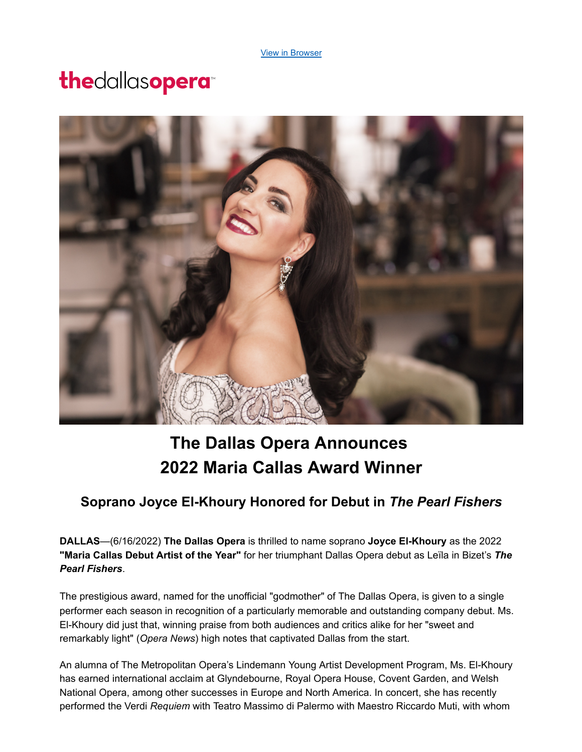[View in Browser](https://dallasopera.prospect2.com/Prod/link-tracker?notrack=1&redirectUrl=aHR0cHMlM0ElMkYlMkZkYWxsYXNvcGVyYS5wcm9zcGVjdDIuY29tJTJGcF92bnMucGhwJTNGbCUzRDUlMjZjJTNEOTklMjZtJTNEMTEyJTI2cyUzRGJhZDk3YzY1NTQ3NmY5NmEzOTBhNzJjMDVhNzQyMDExJTI2dXRtX3NvdXJjZSUzREFjdGl2ZUNhbXBhaWduJTI2dXRtX21lZGl1bSUzRGVtYWlsJTI2dXRtX2NvbnRlbnQlM0RQcmVzcyUyQlJlbGVhc2UlMjUzQSUyQjIwMjIlMkJNYXJpYSUyQkNhbGxhcyUyQldpbm5lciUyQkFubm91bmNlZCUyNnV0bV9jYW1wYWlnbiUzRDIxMjJfMjAyMSUyQk1hcmlhJTJCQ2FsbGFzJTJCQXdhcmQlMkJXaW5uZXI=&sig=ELyV7iwLJEwggDQvJVe9FgfzuvVeQ4RCAd3MBDKBbFza&iat=1655420616&a=%7C%7C223538553%7C%7C&account=dallasopera%2Eactivehosted%2Ecom&email=LRRV6glqIfcVPcYsJBrMHi%2FZD%2BmsUFpJrc5fHf6IoVE%3D&s=bad97c655476f96a390a72c05a742011&i=99A112A5A1035)

# **thedallasopera**<sup>®</sup>



## **The Dallas Opera Announces 2022 Maria Callas Award Winner**

### **Soprano Joyce El-Khoury Honored for Debut in** *The Pearl Fishers*

**DALLAS**—(6/16/2022) **The Dallas Opera** is thrilled to name soprano **Joyce El-Khoury** as the 2022 **"Maria Callas Debut Artist of the Year"** for her triumphant Dallas Opera debut as Leïla in Bizet's *The Pearl Fishers*.

The prestigious award, named for the unofficial "godmother" of The Dallas Opera, is given to a single performer each season in recognition of a particularly memorable and outstanding company debut. Ms. El-Khoury did just that, winning praise from both audiences and critics alike for her "sweet and remarkably light" (*Opera News*) high notes that captivated Dallas from the start.

An alumna of The Metropolitan Opera's Lindemann Young Artist Development Program, Ms. El-Khoury has earned international acclaim at Glyndebourne, Royal Opera House, Covent Garden, and Welsh National Opera, among other successes in Europe and North America. In concert, she has recently performed the Verdi *Requiem* with Teatro Massimo di Palermo with Maestro Riccardo Muti, with whom